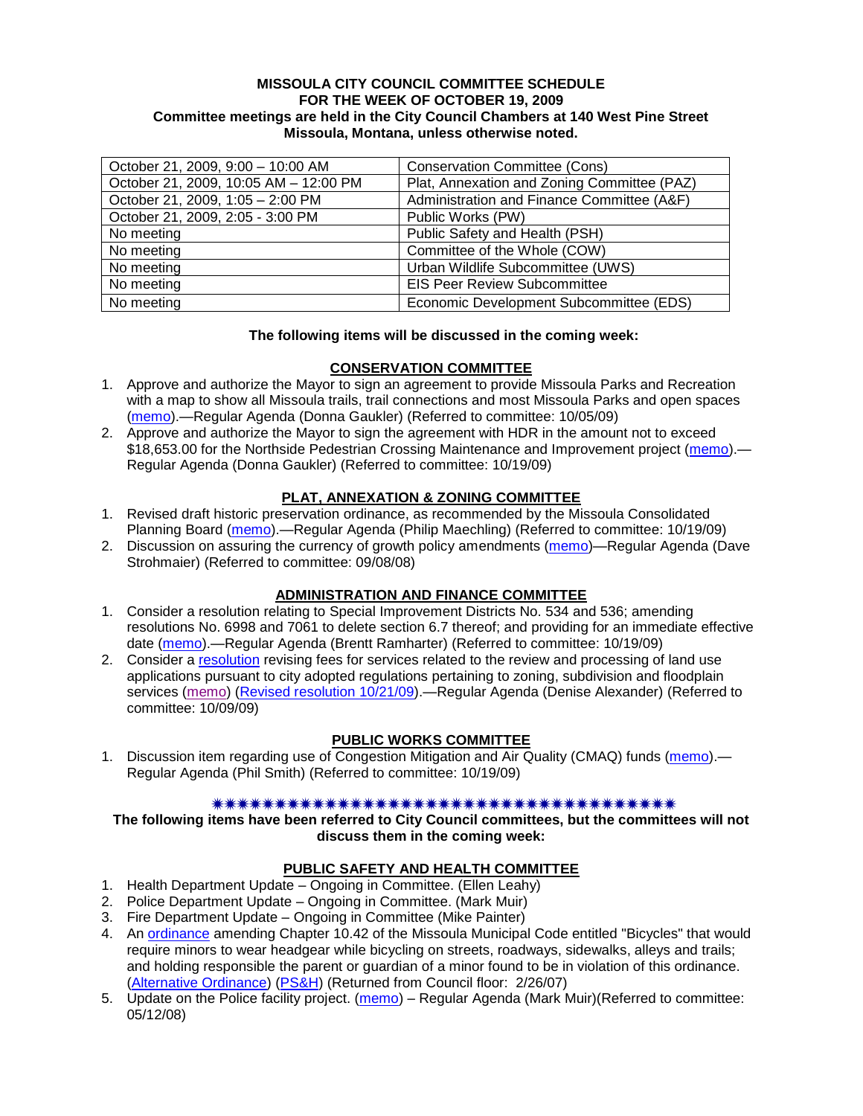#### **MISSOULA CITY COUNCIL COMMITTEE SCHEDULE FOR THE WEEK OF OCTOBER 19, 2009 Committee meetings are held in the City Council Chambers at 140 West Pine Street Missoula, Montana, unless otherwise noted.**

| October 21, 2009, 9:00 - 10:00 AM     | <b>Conservation Committee (Cons)</b>        |
|---------------------------------------|---------------------------------------------|
| October 21, 2009, 10:05 AM - 12:00 PM | Plat, Annexation and Zoning Committee (PAZ) |
| October 21, 2009, 1:05 - 2:00 PM      | Administration and Finance Committee (A&F)  |
| October 21, 2009, 2:05 - 3:00 PM      | Public Works (PW)                           |
| No meeting                            | Public Safety and Health (PSH)              |
| No meeting                            | Committee of the Whole (COW)                |
| No meeting                            | Urban Wildlife Subcommittee (UWS)           |
| No meeting                            | <b>EIS Peer Review Subcommittee</b>         |
| No meeting                            | Economic Development Subcommittee (EDS)     |

### **The following items will be discussed in the coming week:**

### **CONSERVATION COMMITTEE**

- 1. Approve and authorize the Mayor to sign an agreement to provide Missoula Parks and Recreation with a map to show all Missoula trails, trail connections and most Missoula Parks and open spaces [\(memo\)](http://www.ci.missoula.mt.us/DocumentView.aspx?DID=2364).—Regular Agenda (Donna Gaukler) (Referred to committee: 10/05/09)
- 2. Approve and authorize the Mayor to sign the agreement with HDR in the amount not to exceed \$18,653.00 for the Northside Pedestrian Crossing Maintenance and Improvement project [\(memo\)](http://www.ci.missoula.mt.us/DocumentView.aspx?DID=2437) — Regular Agenda (Donna Gaukler) (Referred to committee: 10/19/09)

## **PLAT, ANNEXATION & ZONING COMMITTEE**

- 1. Revised draft historic preservation ordinance, as recommended by the Missoula Consolidated Planning Board [\(memo\)](http://www.ci.missoula.mt.us/DocumentView.aspx?DID=2436).—Regular Agenda (Philip Maechling) (Referred to committee: 10/19/09)
- 2. Discussion on assuring the currency of growth policy amendments [\(memo\)](ftp://ftp.ci.missoula.mt.us/Packets/Council/2008/2008-09-08/Referrals/Plan_updates.pdf)—Regular Agenda (Dave Strohmaier) (Referred to committee: 09/08/08)

### **ADMINISTRATION AND FINANCE COMMITTEE**

- 1. Consider a resolution relating to Special Improvement Districts No. 534 and 536; amending resolutions No. 6998 and 7061 to delete section 6.7 thereof; and providing for an immediate effective date [\(memo\)](http://www.ci.missoula.mt.us/DocumentView.aspx?DID=2433).—Regular Agenda (Brentt Ramharter) (Referred to committee: 10/19/09)
- 2. Consider a [resolution](http://www.ci.missoula.mt.us/DocumentView.aspx?DID=2444) revising fees for services related to the review and processing of land use applications pursuant to city adopted regulations pertaining to zoning, subdivision and floodplain services [\(memo\)](http://www.ci.missoula.mt.us/DocumentView.aspx?DID=2387) [\(Revised resolution](http://www.ci.missoula.mt.us/DocumentView.aspx?DID=2399) 10/21/09).—Regular Agenda (Denise Alexander) (Referred to committee: 10/09/09)

### **PUBLIC WORKS COMMITTEE**

1. Discussion item regarding use of Congestion Mitigation and Air Quality (CMAQ) funds [\(memo\)](http://www.ci.missoula.mt.us/DocumentView.aspx?DID=2434) — Regular Agenda (Phil Smith) (Referred to committee: 10/19/09)

#### 

**The following items have been referred to City Council committees, but the committees will not discuss them in the coming week:**

### **PUBLIC SAFETY AND HEALTH COMMITTEE**

- 1. Health Department Update Ongoing in Committee. (Ellen Leahy)
- 2. Police Department Update Ongoing in Committee. (Mark Muir)
- 3. Fire Department Update Ongoing in Committee (Mike Painter)
- 4. An [ordinance](ftp://ftp.ci.missoula.mt.us/Packets/Council/2007/2007-02-05/07-01-31 Helmet and bikes psh.htm) amending Chapter 10.42 of the Missoula Municipal Code entitled "Bicycles" that would require minors to wear headgear while bicycling on streets, roadways, sidewalks, alleys and trails; and holding responsible the parent or guardian of a minor found to be in violation of this ordinance. [\(Alternative Ordinance\)](ftp://ftp.ci.missoula.mt.us/Packets/Council/2007/2007-02-26/07-02-19_Alternative_Helmet_and_bikes.htm) [\(PS&H\)](ftp://ftp.ci.missoula.mt.us/Packets/Council/2007/2007-02-05/070131psh.pdf) (Returned from Council floor: 2/26/07)
- 5. Update on the Police facility project. [\(memo\)](ftp://ftp.ci.missoula.mt.us/Packets/Council/2008/2008-05-12/Referrals/Buildingpresentationreferral.htm) Regular Agenda (Mark Muir)(Referred to committee: 05/12/08)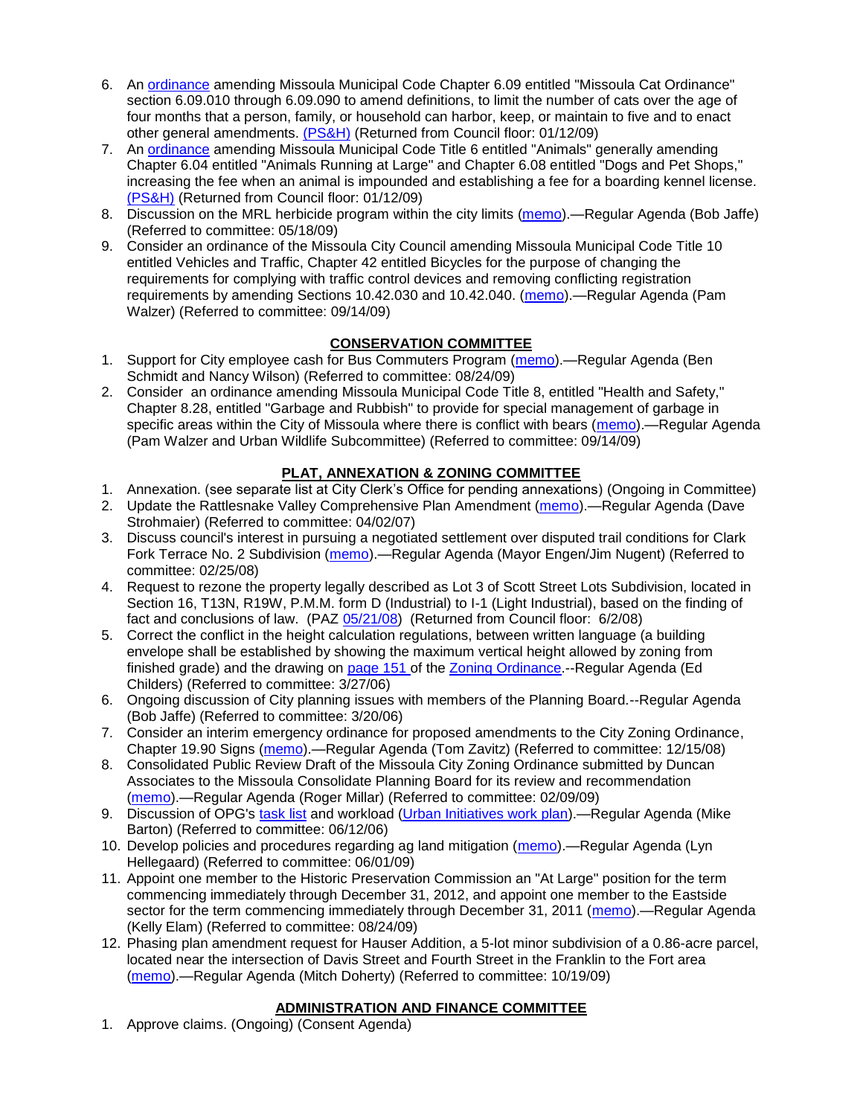- 6. An [ordinance](ftp://ftp.ci.missoula.mt.us/Packets/Council/2008/2008-12-15/2008CatOrdinanceAmendment%5B1%5D.pdf) amending Missoula Municipal Code Chapter 6.09 entitled "Missoula Cat Ordinance" section 6.09.010 through 6.09.090 to amend definitions, to limit the number of cats over the age of four months that a person, family, or household can harbor, keep, or maintain to five and to enact other general amendments. [\(PS&H\)](ftp://ftp.ci.missoula.mt.us/Packets/Council/2008/2008-12-15/081210psh.pdf) (Returned from Council floor: 01/12/09)
- 7. An [ordinance](ftp://ftp.ci.missoula.mt.us/Packets/Council/2008/2008-12-15/DogOrdinance--PSHrevisions.pdf) amending Missoula Municipal Code Title 6 entitled "Animals" generally amending Chapter 6.04 entitled "Animals Running at Large" and Chapter 6.08 entitled "Dogs and Pet Shops," increasing the fee when an animal is impounded and establishing a fee for a boarding kennel license. [\(PS&H\)](ftp://ftp.ci.missoula.mt.us/Packets/Council/2008/2008-12-15/081210psh.pdf) (Returned from Council floor: 01/12/09)
- 8. Discussion on the MRL herbicide program within the city limits [\(memo\)](ftp://ftp.ci.missoula.mt.us/Packets/Council/2009/2009-05-18/Referrals/MRLWeedSprayingReferral.pdf).—Regular Agenda (Bob Jaffe) (Referred to committee: 05/18/09)
- 9. Consider an ordinance of the Missoula City Council amending Missoula Municipal Code Title 10 entitled Vehicles and Traffic, Chapter 42 entitled Bicycles for the purpose of changing the requirements for complying with traffic control devices and removing conflicting registration requirements by amending Sections 10.42.030 and 10.42.040. [\(memo\)](http://www.ci.missoula.mt.us/DocumentView.aspx?DID=2223).—Regular Agenda (Pam Walzer) (Referred to committee: 09/14/09)

# **CONSERVATION COMMITTEE**

- 1. Support for City employee cash for Bus Commuters Program [\(memo\)](http://www.ci.missoula.mt.us/DocumentView.aspx?DID=2127).—Regular Agenda (Ben Schmidt and Nancy Wilson) (Referred to committee: 08/24/09)
- 2. Consider an ordinance amending Missoula Municipal Code Title 8, entitled "Health and Safety," Chapter 8.28, entitled "Garbage and Rubbish" to provide for special management of garbage in specific areas within the City of Missoula where there is conflict with bears [\(memo\)](http://www.ci.missoula.mt.us/DocumentView.aspx?DID=2228).—Regular Agenda (Pam Walzer and Urban Wildlife Subcommittee) (Referred to committee: 09/14/09)

# **PLAT, ANNEXATION & ZONING COMMITTEE**

- 1. Annexation. (see separate list at City Clerk's Office for pending annexations) (Ongoing in Committee)
- 2. Update the Rattlesnake Valley Comprehensive Plan Amendment [\(memo\)](ftp://ftp.ci.missoula.mt.us/Packets/Council/2007/2007-04-02/Referrals/Rattlesnake_Plan_Update_referral.pdf).—Regular Agenda (Dave Strohmaier) (Referred to committee: 04/02/07)
- 3. Discuss council's interest in pursuing a negotiated settlement over disputed trail conditions for Clark Fork Terrace No. 2 Subdivision [\(memo\)](ftp://ftp.ci.missoula.mt.us/Packets/Council/2008/2008-02-25/Referrals/Clark_Fork_Terrace_2.pdf).—Regular Agenda (Mayor Engen/Jim Nugent) (Referred to committee: 02/25/08)
- 4. Request to rezone the property legally described as Lot 3 of Scott Street Lots Subdivision, located in Section 16, T13N, R19W, P.M.M. form D (Industrial) to I-1 (Light Industrial), based on the finding of fact and conclusions of law. (PAZ [05/21/08\)](ftp://ftp.ci.missoula.mt.us/Packets/Council/2008/2008-06-02/080521paz.pdf) (Returned from Council floor: 6/2/08)
- 5. Correct the conflict in the height calculation regulations, between written language (a building envelope shall be established by showing the maximum vertical height allowed by zoning from finished grade) and the drawing on [page 151 o](ftp://www.co.missoula.mt.us/opg2/Documents/CurrentRegulations/CityZoningTitle19/CH19.67Hillside.pdf)f the [Zoning Ordinance.](ftp://www.co.missoula.mt.us/opg2/Documents/CurrentRegulations/CityZoningTitle19/CityOrdinanceLP.htm)--Regular Agenda (Ed Childers) (Referred to committee: 3/27/06)
- 6. Ongoing discussion of City planning issues with members of the Planning Board.--Regular Agenda (Bob Jaffe) (Referred to committee: 3/20/06)
- 7. Consider an interim emergency ordinance for proposed amendments to the City Zoning Ordinance, Chapter 19.90 Signs [\(memo\)](ftp://ftp.ci.missoula.mt.us/Packets/Council/2008/2008-12-15/Referrals/ElectronicSignOrdinanceMemo.pdf).—Regular Agenda (Tom Zavitz) (Referred to committee: 12/15/08)
- 8. Consolidated Public Review Draft of the Missoula City Zoning Ordinance submitted by Duncan Associates to the Missoula Consolidate Planning Board for its review and recommendation [\(memo\)](ftp://ftp.ci.missoula.mt.us/Packets/Council/2009/2009-02-09/Referrals/CodeRewritetoPBMemo.pdf).—Regular Agenda (Roger Millar) (Referred to committee: 02/09/09)
- 9. Discussion of OPG's [task list](ftp://ftp.ci.missoula.mt.us/Packets/Council/2008/2008-07-07/UITaskList.pdf) and workload [\(Urban Initiatives work plan\)](ftp://ftp.ci.missoula.mt.us/Packets/Council/2006/2006-06-12/Referrals/Urban_Init.htm).—Regular Agenda (Mike Barton) (Referred to committee: 06/12/06)
- 10. Develop policies and procedures regarding ag land mitigation [\(memo\)](http://www.ci.missoula.mt.us/DocumentView.aspx?DID=1272).—Regular Agenda (Lyn Hellegaard) (Referred to committee: 06/01/09)
- 11. Appoint one member to the Historic Preservation Commission an "At Large" position for the term commencing immediately through December 31, 2012, and appoint one member to the Eastside sector for the term commencing immediately through December 31, 2011 [\(memo\)](http://www.ci.missoula.mt.us/DocumentView.aspx?DID=2128).—Regular Agenda (Kelly Elam) (Referred to committee: 08/24/09)
- 12. Phasing plan amendment request for Hauser Addition, a 5-lot minor subdivision of a 0.86-acre parcel, located near the intersection of Davis Street and Fourth Street in the Franklin to the Fort area [\(memo\)](http://www.ci.missoula.mt.us/DocumentView.aspx?DID=2435).—Regular Agenda (Mitch Doherty) (Referred to committee: 10/19/09)

## **ADMINISTRATION AND FINANCE COMMITTEE**

1. Approve claims. (Ongoing) (Consent Agenda)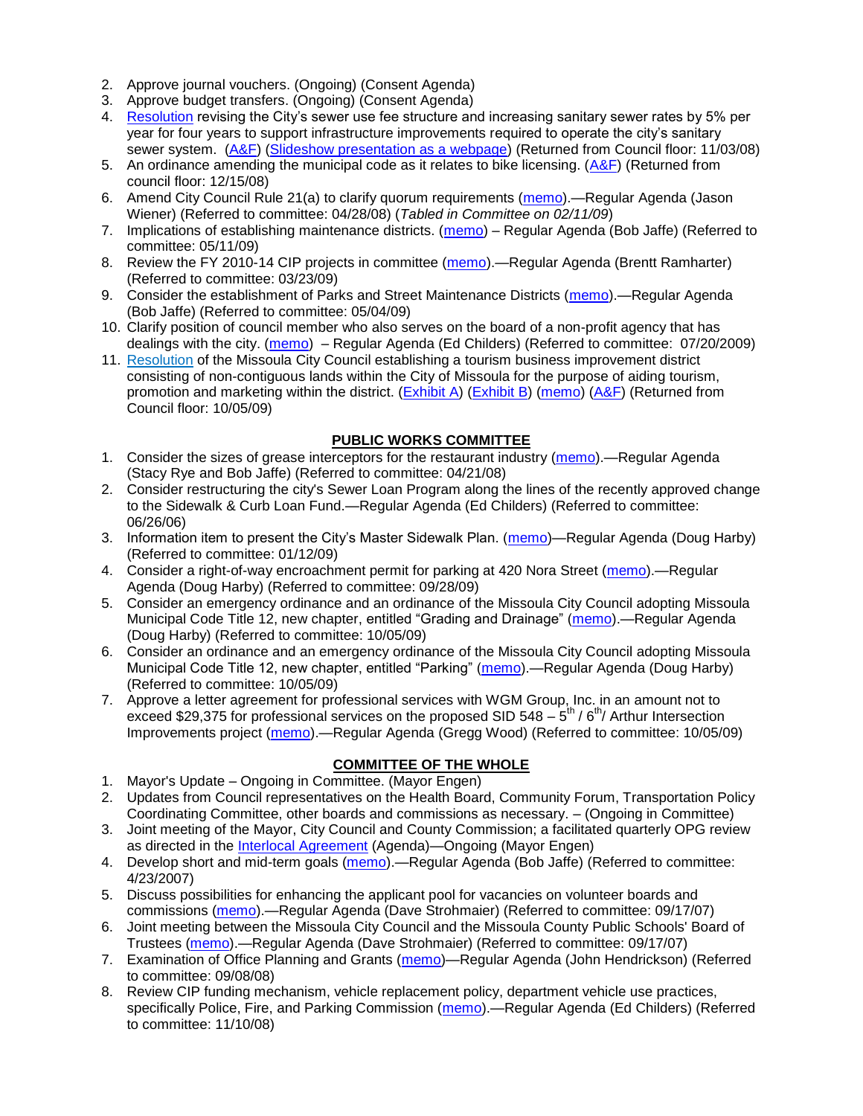- 2. Approve journal vouchers. (Ongoing) (Consent Agenda)
- 3. Approve budget transfers. (Ongoing) (Consent Agenda)
- 4. [Resolution](ftp://ftp.ci.missoula.mt.us/Packets/Council/2008/2008-09-22/referrals/Sewerrateresolution.pdf) revising the City's sewer use fee structure and increasing sanitary sewer rates by 5% per year for four years to support infrastructure improvements required to operate the city's sanitary sewer system. [\(A&F\)](ftp://ftp.ci.missoula.mt.us/Packets/Council/2008/2008-10-06/081001af.pdf) [\(Slideshow presentation as a webpage\)](ftp://ftp.ci.missoula.mt.us/Packets/Council/2008/2008-11-03/2008-11-03SewerUserRateIncrease_files/frame.htm) (Returned from Council floor: 11/03/08)
- 5. An ordinance amending the municipal code as it relates to bike licensing. [\(A&F\)](ftp://ftp.ci.missoula.mt.us/Packets/Council/2008/2008-12-15/081210af.pdf) (Returned from council floor: 12/15/08)
- 6. Amend City Council Rule 21(a) to clarify quorum requirements [\(memo\)](ftp://ftp.ci.missoula.mt.us/Packets/Council/2008/2008-04-28/Referrals/CouncilRule21aReferral.pdf).—Regular Agenda (Jason Wiener) (Referred to committee: 04/28/08) (*Tabled in Committee on 02/11/09*)
- 7. Implications of establishing maintenance districts. [\(memo\)](ftp://ftp.ci.missoula.mt.us/Packets/Council/2009/2009-05-11/Referrals/MaintenanceDistricts.pdf) Regular Agenda (Bob Jaffe) (Referred to committee: 05/11/09)
- 8. Review the FY 2010-14 CIP projects in committee [\(memo\)](ftp://ftp.ci.missoula.mt.us/Packets/Council/2009/2009-03-23/Referrals/RefAFCIPBudgetReviewFY2010-2014CIP.pdf).—Regular Agenda (Brentt Ramharter) (Referred to committee: 03/23/09)
- 9. Consider the establishment of Parks and Street Maintenance Districts [\(memo\)](ftp://ftp.ci.missoula.mt.us/Packets/Council/2009/2009-05-04/Referrals/MaintenanceDistricts.pdf).—Regular Agenda (Bob Jaffe) (Referred to committee: 05/04/09)
- 10. Clarify position of council member who also serves on the board of a non-profit agency that has dealings with the city. [\(memo\)](http://www.ci.missoula.mt.us/DocumentView.aspx?DID=1840) – Regular Agenda (Ed Childers) (Referred to committee: 07/20/2009)
- 11. [Resolution](http://www.ci.missoula.mt.us/DocumentView.aspx?DID=2373) of the Missoula City Council establishing a tourism business improvement district consisting of non-contiguous lands within the City of Missoula for the purpose of aiding tourism, promotion and marketing within the district. [\(Exhibit A\)](http://www.ci.missoula.mt.us/DocumentView.aspx?DID=2090) [\(Exhibit B\)](http://www.ci.missoula.mt.us/DocumentView.aspx?DID=2374) [\(memo\)](http://www.ci.missoula.mt.us/DocumentView.aspx?DID=2097) [\(A&F\)](http://www.ci.missoula.mt.us/Archive.aspx?ADID=1172) (Returned from Council floor: 10/05/09)

### **PUBLIC WORKS COMMITTEE**

- 1. Consider the sizes of grease interceptors for the restaurant industry [\(memo\)](ftp://ftp.ci.missoula.mt.us/Packets/Council/2008/2008-04-21/Referrals/Industrial_waste_restaurants.pdf).—Regular Agenda (Stacy Rye and Bob Jaffe) (Referred to committee: 04/21/08)
- 2. Consider restructuring the city's Sewer Loan Program along the lines of the recently approved change to the Sidewalk & Curb Loan Fund.—Regular Agenda (Ed Childers) (Referred to committee: 06/26/06)
- 3. Information item to present the City's Master Sidewalk Plan. [\(memo\)](ftp://ftp.ci.missoula.mt.us/packets/council/2009/2009-01-12/Referrals/MstrSdwlkPlnREF.pdf)—Regular Agenda (Doug Harby) (Referred to committee: 01/12/09)
- 4. Consider a right-of-way encroachment permit for parking at 420 Nora Street [\(memo\)](http://www.ci.missoula.mt.us/DocumentView.aspx?DID=2310).—Regular Agenda (Doug Harby) (Referred to committee: 09/28/09)
- 5. Consider an emergency ordinance and an ordinance of the Missoula City Council adopting Missoula Municipal Code Title 12, new chapter, entitled "Grading and Drainage" [\(memo\)](http://www.ci.missoula.mt.us/DocumentView.aspx?DID=2365).—Regular Agenda (Doug Harby) (Referred to committee: 10/05/09)
- 6. Consider an ordinance and an emergency ordinance of the Missoula City Council adopting Missoula Municipal Code Title 12, new chapter, entitled "Parking" [\(memo\)](http://www.ci.missoula.mt.us/DocumentView.aspx?DID=2366).—Regular Agenda (Doug Harby) (Referred to committee: 10/05/09)
- 7. Approve a letter agreement for professional services with WGM Group, Inc. in an amount not to exceed \$29,375 for professional services on the proposed SID 548  $-5^{\text{th}}$  / 6<sup>th</sup>/ Arthur Intersection Improvements project [\(memo\)](http://www.ci.missoula.mt.us/DocumentView.aspx?DID=2363).—Regular Agenda (Gregg Wood) (Referred to committee: 10/05/09)

### **COMMITTEE OF THE WHOLE**

- 1. Mayor's Update Ongoing in Committee. (Mayor Engen)
- 2. Updates from Council representatives on the Health Board, Community Forum, Transportation Policy Coordinating Committee, other boards and commissions as necessary. – (Ongoing in Committee)
- 3. Joint meeting of the Mayor, City Council and County Commission; a facilitated quarterly OPG review as directed in the [Interlocal Agreement](ftp://ftp.ci.missoula.mt.us/Documents/Mayor/OPG/Adopted-ILA-2005.pdf) (Agenda)—Ongoing (Mayor Engen)
- 4. Develop short and mid-term goals [\(memo\)](ftp://ftp.ci.missoula.mt.us/Packets/Council/2007/2007-04-23/Referrals/Council_Goals.pdf).—Regular Agenda (Bob Jaffe) (Referred to committee: 4/23/2007)
- 5. Discuss possibilities for enhancing the applicant pool for vacancies on volunteer boards and commissions [\(memo\)](ftp://ftp.ci.missoula.mt.us/Packets/Council/2007/2007-09-17/Referrals/board_and_commission_recruitment.pdf).—Regular Agenda (Dave Strohmaier) (Referred to committee: 09/17/07)
- 6. Joint meeting between the Missoula City Council and the Missoula County Public Schools' Board of Trustees [\(memo\)](ftp://ftp.ci.missoula.mt.us/Packets/Council/2007/2007-09-17/Referrals/Council_School_Board_referral.pdf).—Regular Agenda (Dave Strohmaier) (Referred to committee: 09/17/07)
- 7. Examination of Office Planning and Grants [\(memo\)](ftp://ftp.ci.missoula.mt.us/Packets/Council/2008/2008-09-08/Referrals/080825HendricksonOPGreferral.pdf)—Regular Agenda (John Hendrickson) (Referred to committee: 09/08/08)
- 8. Review CIP funding mechanism, vehicle replacement policy, department vehicle use practices, specifically Police, Fire, and Parking Commission [\(memo\)](ftp://ftp.ci.missoula.mt.us/Packets/Council/2008/2008-11-10/Referrals/ReviewBudgetary.pdf).—Regular Agenda (Ed Childers) (Referred to committee: 11/10/08)